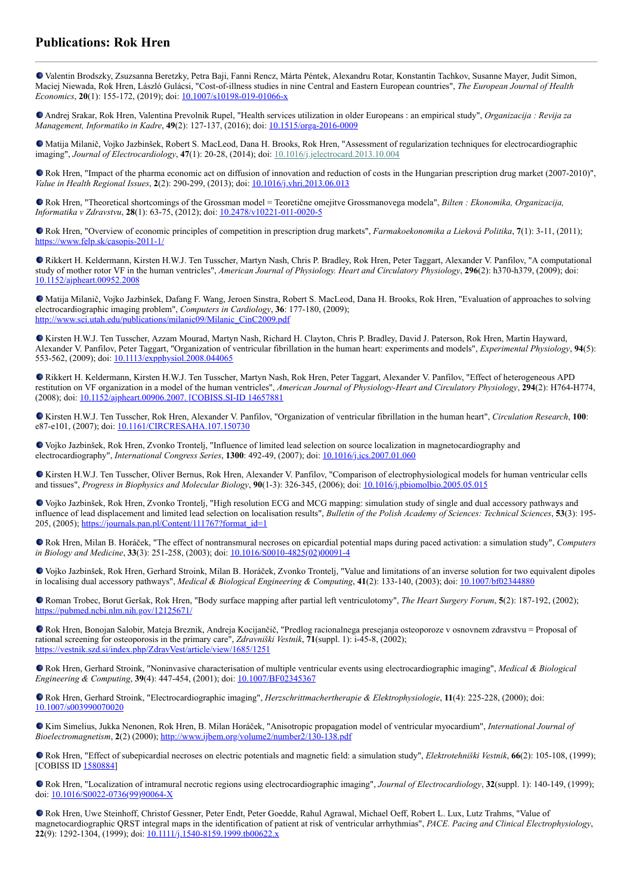## **Publications: Rok Hren**

Valentin Brodszky, Zsuzsanna Beretzky, Petra Baji, Fanni Rencz, Márta Péntek, Alexandru Rotar, Konstantin Tachkov, Susanne Mayer, Judit Simon, Maciej Niewada, Rok Hren, László Gulácsi, "Cost-of-illness studies in nine Central and Eastern European countries", *The European Journal of Health Economics*, **20**(1): 155-172, (2019); doi: [10.1007/s10198-019-01066-x](https://dx.doi.org/10.1007/s10198-019-01066-x)

Andrej Srakar, Rok Hren, Valentina Prevolnik Rupel, "Health services utilization in older Europeans : an empirical study", *Organizacija : Revija za Management, Informatiko in Kadre*, **49**(2): 127-137, (2016); doi: [10.1515/orga-2016-0009](https://dx.doi.org/10.1515/orga-2016-0009)

Matija Milanič, Vojko Jazbinšek, Robert S. MacLeod, Dana H. Brooks, Rok Hren, "Assessment of regularization techniques for electrocardiographic imaging", *Journal of Electrocardiology*, **47**(1): 20-28, (2014); doi: [10.1016/j.jelectrocard.2013.10.004](http://dx.doi.org/10.1016/j.jelectrocard.2013.10.004)

• Rok Hren, "Impact of the pharma economic act on diffusion of innovation and reduction of costs in the Hungarian prescription drug market (2007-2010)", *Value in Health Regional Issues*, **2**(2): 290-299, (2013); doi: [10.1016/j.vhri.2013.06.013](https://dx.doi.org/10.1016/j.vhri.2013.06.013)

Rok Hren, "Theoretical shortcomings of the Grossman model = Teoretične omejitve Grossmanovega modela", *Bilten : Ekonomika, Organizacija, Informatika v Zdravstvu*, **28**(1): 63-75, (2012); doi: [10.2478/v10221-011-0020-5](https://dx.doi.org/10.2478/v10221-011-0020-5)

Rok Hren, "Overview of economic principles of competition in prescription drug markets", *Farmakoekonomika a Lieková Politika*, **7**(1): 3-11, (2011); <https://www.felp.sk/casopis-2011-1/>

Rikkert H. Keldermann, Kirsten H.W.J. Ten Tusscher, Martyn Nash, Chris P. Bradley, Rok Hren, Peter Taggart, Alexander V. Panfilov, "A computational study of mother rotor VF in the human ventricles", *American Journal of Physiology. Heart and Circulatory Physiology*, **296**(2): h370-h379, (2009); doi: [10.1152/ajpheart.00952.2008](http://dx.doi.org/10.1152/ajpheart.00952.2008)

Matija Milanič, Vojko Jazbinšek, Dafang F. Wang, Jeroen Sinstra, Robert S. MacLeod, Dana H. Brooks, Rok Hren, "Evaluation of approaches to solving electrocardiographic imaging problem", *Computers in Cardiology*, **36**: 177-180, (2009); [http://www.sci.utah.edu/publications/milanic09/Milanic\\_CinC2009.pdf](http://www.sci.utah.edu/publications/milanic09/Milanic_CinC2009.pdf)

Kirsten H.W.J. Ten Tusscher, Azzam Mourad, Martyn Nash, Richard H. Clayton, Chris P. Bradley, David J. Paterson, Rok Hren, Martin Hayward, Alexander V. Panfilov, Peter Taggart, "Organization of ventricular fibrillation in the human heart: experiments and models", *Experimental Physiology*, **94**(5): 553-562, (2009); doi: [10.1113/expphysiol.2008.044065](http://dx.doi.org/10.1113/expphysiol.2008.044065)

Rikkert H. Keldermann, Kirsten H.W.J. Ten Tusscher, Martyn Nash, Rok Hren, Peter Taggart, Alexander V. Panfilov, "Effect of heterogeneous APD restitution on VF organization in a model of the human ventricles", *American Journal of Physiology-Heart and Circulatory Physiology*, **294**(2): H764-H774, (2008); doi: [10.1152/ajpheart.00906.2007. \[COBISS.SI-ID](https://doi.org/10.1152/ajpheart.00906.2007) [14657881](https://plus.si.cobiss.net/opac7/bib/14657881?lang=en)

Kirsten H.W.J. Ten Tusscher, Rok Hren, Alexander V. Panfilov, "Organization of ventricular fibrillation in the human heart", *Circulation Research*, **100**: e87-e101, (2007); doi: [10.1161/CIRCRESAHA.107.150730](https://dx.doi.org/10.1161/CIRCRESAHA.107.150730)

Vojko Jazbinšek, Rok Hren, Zvonko Trontelj, "Influence of limited lead selection on source localization in magnetocardiography and electrocardiography", *International Congress Series*, **1300**: 492-49, (2007); doi: [10.1016/j.ics.2007.01.060](https://doi.org/10.1016/j.ics.2007.01.060)

Kirsten H.W.J. Ten Tusscher, Oliver Bernus, Rok Hren, Alexander V. Panfilov, "Comparison of electrophysiological models for human ventricular cells and tissues", *Progress in Biophysics and Molecular Biology*, **90**(1-3): 326-345, (2006); doi: [10.1016/j.pbiomolbio.2005.05.015](http://dx.doi.org/10.1016/j.pbiomolbio.2005.05.015)

Vojko Jazbinšek, Rok Hren, Zvonko Trontelj, "High resolution ECG and MCG mapping: simulation study of single and dual accessory pathways and influence of lead displacement and limited lead selection on localisation results", *Bulletin of the Polish Academy of Sciences: Technical Sciences*, **53**(3): 195 205, (2005); [https://journals.pan.pl/Content/111767?format\\_id=1](https://journals.pan.pl/Content/111767?format_id=1)

Rok Hren, Milan B. Horáček, "The effect of nontransmural necroses on epicardial potential maps during paced activation: a simulation study", *Computers in Biology and Medicine*, **33**(3): 251-258, (2003); doi: [10.1016/S0010-4825\(02\)00091-4](https://doi.org/10.1016/S0010-4825(02)00091-4)

Vojko Jazbinšek, Rok Hren, Gerhard Stroink, Milan B. Horáček, Zvonko Trontelj, "Value and limitations of an inverse solution for two equivalent dipoles in localising dual accessory pathways", *Medical & Biological Engineering & Computing*, **41**(2): 133-140, (2003); doi: [10.1007/bf02344880](https://doi.org/10.1007/bf02344880)

Roman Trobec, Borut Geršak, Rok Hren, "Body surface mapping after partial left ventriculotomy", *The Heart Surgery Forum*, **5**(2): 187-192, (2002); <https://pubmed.ncbi.nlm.nih.gov/12125671/>

● Rok Hren, Bonojan Salobir, Mateja Breznik, Andreja Kocijančič, "Predlog racionalnega presejanja osteoporoze v osnovnem zdravstvu = Proposal of rational screening for osteoporosis in the primary care", *Zdravniški Vestnik*, **71**(suppl. 1): i-45-8, (2002); <https://vestnik.szd.si/index.php/ZdravVest/article/view/1685/1251>

Rok Hren, Gerhard Stroink, "Noninvasive characterisation of multiple ventricular events using electrocardiographic imaging", *Medical & Biological Engineering & Computing*, 39(4): 447-454, (2001); doi: **[10.1007/BF02345367](https://doi.org/10.1007/BF02345367)** 

Rok Hren, Gerhard Stroink, "Electrocardiographic imaging", *Herzschrittmachertherapie & Elektrophysiologie*, **11**(4): 225-228, (2000); doi: [10.1007/s003990070020](https://doi.org/10.1007/s003990070020)

Kim Simelius, Jukka Nenonen, Rok Hren, B. Milan Horáček, "Anisotropic propagation model of ventricular myocardium", *International Journal of Bioelectromagnetism*, **2**(2) (2000);<http://www.ijbem.org/volume2/number2/130-138.pdf>

Rok Hren, "Effect of subepicardial necroses on electric potentials and magnetic field: a simulation study", *Elektrotehniški Vestnik*, **66**(2): 105-108, (1999); [COBISS ID [1580884\]](https://plus.si.cobiss.net/opac7/bib/1580884?lang=en)

Rok Hren, "Localization of intramural necrotic regions using electrocardiographic imaging", *Journal of Electrocardiology*, **32**(suppl. 1): 140-149, (1999); doi: [10.1016/S0022-0736\(99\)90064-X](https://doi.org/10.1016/S0022-0736(99)90064-X)

Rok Hren, Uwe Steinhoff, Christof Gessner, Peter Endt, Peter Goedde, Rahul Agrawal, Michael Oeff, Robert L. Lux, Lutz Trahms, "Value of magnetocardiographic QRST integral maps in the identification of patient at risk of ventricular arrhythmias", *PACE. Pacing and Clinical Electrophysiology*, **22**(9): 1292-1304, (1999); doi: [10.1111/j.1540-8159.1999.tb00622.x](https://doi.org/10.1111/j.1540-8159.1999.tb00622.x)